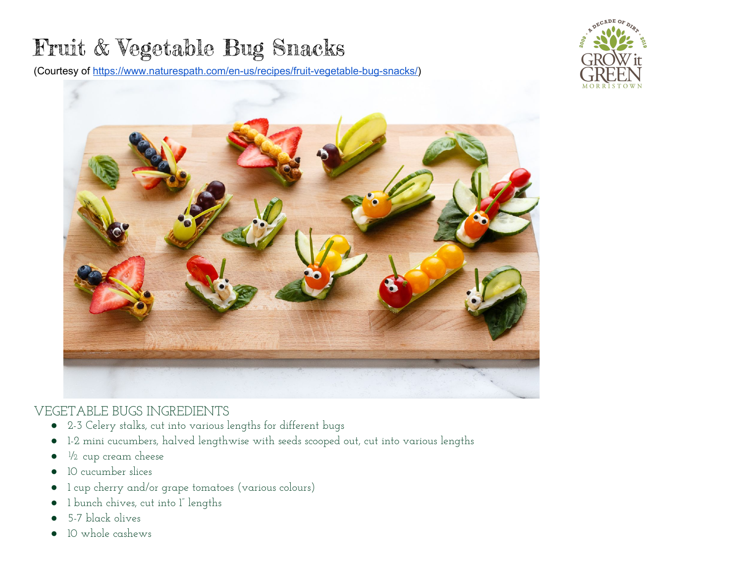## Fruit & Vegetable Bug Snacks

(Courtesy of [https://www.naturespath.com/en-us/recipes/fruit-vegetable-bug-snacks/\)](https://www.naturespath.com/en-us/recipes/fruit-vegetable-bug-snacks/)





## VEGETABLE BUGS INGREDIENTS

- 2-3 Celery stalks, cut into various lengths for different bugs
- 1-2 mini cucumbers, halved lengthwise with seeds scooped out, cut into various lengths
- $\bullet$   $\frac{1}{2}$  cup cream cheese
- 10 cucumber slices
- 1 cup cherry and/or grape tomatoes (various colours)
- 1 bunch chives, cut into 1" lengths
- 5-7 black olives
- 10 whole cashews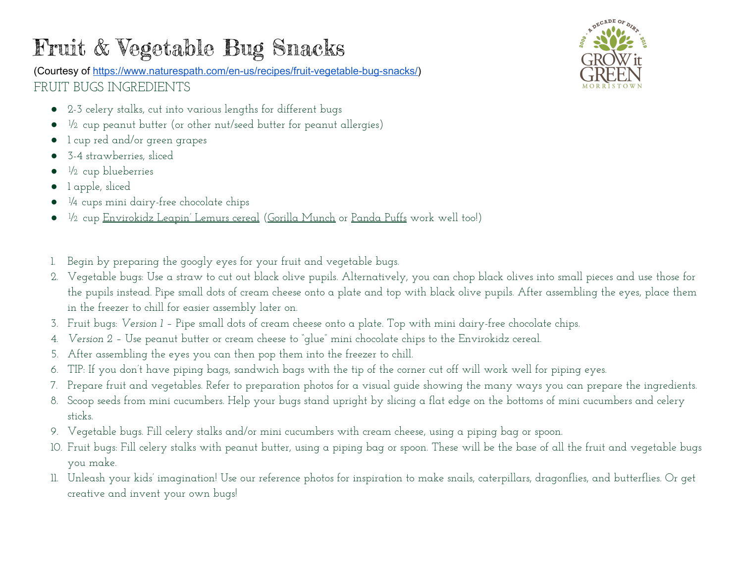## Fruit & Vegetable Bug Snacks

(Courtesy of [https://www.naturespath.com/en-us/recipes/fruit-vegetable-bug-snacks/\)](https://www.naturespath.com/en-us/recipes/fruit-vegetable-bug-snacks/) FRUIT BUGS INGREDIENTS

- 2-3 celery stalks, cut into various lengths for different bugs
- ½ cup peanut butter (or other nut/seed butter for peanut allergies)
- 1 cup red and/or green grapes
- 3-4 strawberries, sliced
- $\bullet$   $\frac{1}{2}$  cup blueberries
- 1 apple, sliced
- ¼ cups mini dairy-free chocolate chips
- ½ cup [Envirokidz](https://www.naturespath.com/en-ca/products/envirokidz/leapin-lemurs-cereal/) Leapin' Lemurs cereal (Gorilla [Munch](https://www.naturespath.com/en-ca/products/envirokidz/gorilla-munch-cereal/) or [Panda](https://www.naturespath.com/en-ca/products/envirokidz/panda-puffs-cereal/) Puffs work well too!)
- 1. Begin by preparing the googly eyes for your fruit and vegetable bugs.
- 2. Vegetable bugs: Use a straw to cut out black olive pupils. Alternatively, you can chop black olives into small pieces and use those for the pupils instead. Pipe small dots of cream cheese onto a plate and top with black olive pupils. After assembling the eyes, place them in the freezer to chill for easier assembly later on.
- 3. Fruit bugs: *Version 1 –* Pipe small dots of cream cheese onto a plate. Top with mini dairy-free chocolate chips.
- 4. *Version 2 –* Use peanut butter or cream cheese to "glue" mini chocolate chips to the Envirokidz cereal.
- 5. After assembling the eyes you can then pop them into the freezer to chill.
- 6. TIP: If you don't have piping bags, sandwich bags with the tip of the corner cut off will work well for piping eyes.
- 7. Prepare fruit and vegetables. Refer to preparation photos for a visual guide showing the many ways you can prepare the ingredients.
- 8. Scoop seeds from mini cucumbers. Help your bugs stand upright by slicing a flat edge on the bottoms of mini cucumbers and celery sticks.
- 9. Vegetable bugs. Fill celery stalks and/or mini cucumbers with cream cheese, using a piping bag or spoon.
- 10. Fruit bugs: Fill celery stalks with peanut butter, using a piping bag or spoon. These will be the base of all the fruit and vegetable bugs you make.
- 11. Unleash your kids' imagination! Use our reference photos for inspiration to make snails, caterpillars, dragonflies, and butterflies. Or get creative and invent your own bugs!